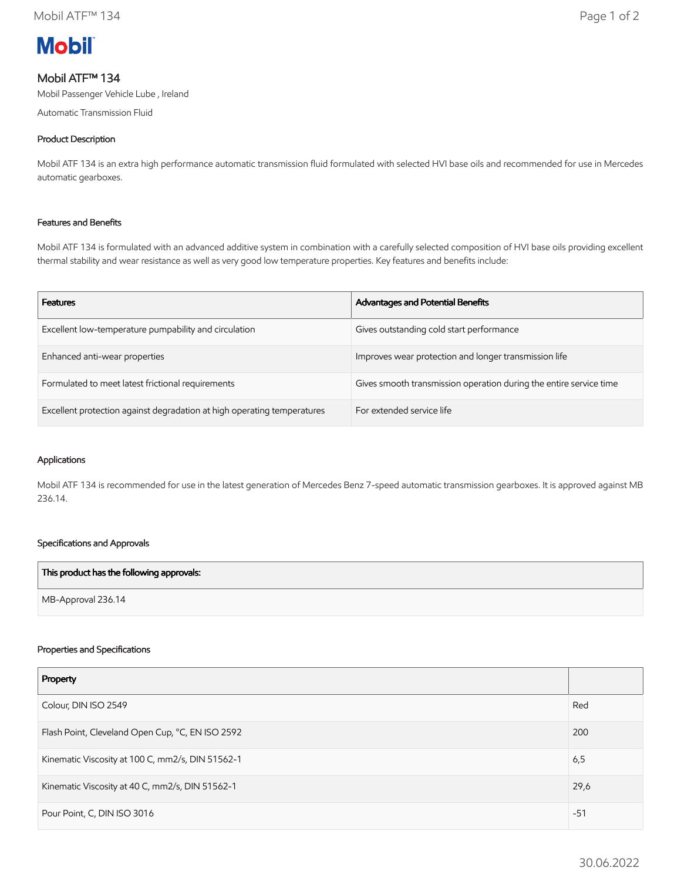

# Mobil ATF™ 134

Mobil Passenger Vehicle Lube , Ireland

Automatic Transmission Fluid

## Product Description

Mobil ATF 134 is an extra high performance automatic transmission fluid formulated with selected HVI base oils and recommended for use in Mercedes automatic gearboxes.

### Features and Benefits

Mobil ATF 134 is formulated with an advanced additive system in combination with a carefully selected composition of HVI base oils providing excellent thermal stability and wear resistance as well as very good low temperature properties. Key features and benefits include:

| <b>Features</b>                                                         | Advantages and Potential Benefits                                  |
|-------------------------------------------------------------------------|--------------------------------------------------------------------|
| Excellent low-temperature pumpability and circulation                   | Gives outstanding cold start performance                           |
| Enhanced anti-wear properties                                           | Improves wear protection and longer transmission life              |
| Formulated to meet latest frictional requirements                       | Gives smooth transmission operation during the entire service time |
| Excellent protection against degradation at high operating temperatures | For extended service life                                          |

#### Applications

Mobil ATF 134 is recommended for use in the latest generation of Mercedes Benz 7-speed automatic transmission gearboxes. It is approved against MB 236.14.

### Specifications and Approvals

| This product has the following approvals: |  |
|-------------------------------------------|--|
| MB-Approval 236.14                        |  |

#### Properties and Specifications

| Property                                         |       |
|--------------------------------------------------|-------|
| Colour, DIN ISO 2549                             | Red   |
| Flash Point, Cleveland Open Cup, °C, EN ISO 2592 | 200   |
| Kinematic Viscosity at 100 C, mm2/s, DIN 51562-1 | 6,5   |
| Kinematic Viscosity at 40 C, mm2/s, DIN 51562-1  | 29,6  |
| Pour Point, C, DIN ISO 3016                      | $-51$ |